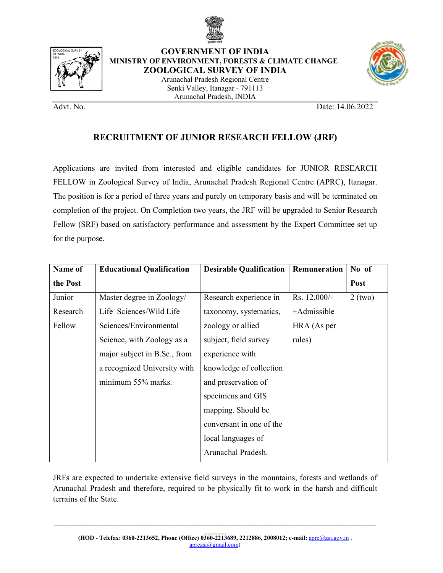



GOVERNMENT OF INDIA MINISTRY OF ENVIRONMENT, FORESTS & CLIMATE CHANGE ZOOLOGICAL SURVEY OF INDIA Arunachal Pradesh Regional Centre Senki Valley, Itanagar - 791113



Advt. No. Date: 14.06.2022

## RECRUITMENT OF JUNIOR RESEARCH FELLOW (JRF)

Arunachal Pradesh, INDIA

Applications are invited from interested and eligible candidates for JUNIOR RESEARCH FELLOW in Zoological Survey of India, Arunachal Pradesh Regional Centre (APRC), Itanagar. The position is for a period of three years and purely on temporary basis and will be terminated on completion of the project. On Completion two years, the JRF will be upgraded to Senior Research Fellow (SRF) based on satisfactory performance and assessment by the Expert Committee set up for the purpose.

| Name of  | <b>Educational Qualification</b> | <b>Desirable Qualification</b> | Remuneration | No of     |  |
|----------|----------------------------------|--------------------------------|--------------|-----------|--|
| the Post |                                  |                                |              | Post      |  |
| Junior   | Master degree in Zoology/        | Research experience in         | Rs. 12,000/- | $2$ (two) |  |
| Research | Life Sciences/Wild Life          | taxonomy, systematics,         | +Admissible  |           |  |
| Fellow   | Sciences/Environmental           | zoology or allied              | HRA (As per  |           |  |
|          | Science, with Zoology as a       | subject, field survey          | rules)       |           |  |
|          | major subject in B.Sc., from     | experience with                |              |           |  |
|          | a recognized University with     | knowledge of collection        |              |           |  |
|          | minimum 55% marks.               | and preservation of            |              |           |  |
|          |                                  | specimens and GIS              |              |           |  |
|          |                                  | mapping. Should be             |              |           |  |
|          |                                  | conversant in one of the       |              |           |  |
|          |                                  | local languages of             |              |           |  |
|          |                                  | Arunachal Pradesh.             |              |           |  |
|          |                                  |                                |              |           |  |

JRFs are expected to undertake extensive field surveys in the mountains, forests and wetlands of Arunachal Pradesh and therefore, required to be physically fit to work in the harsh and difficult terrains of the State.